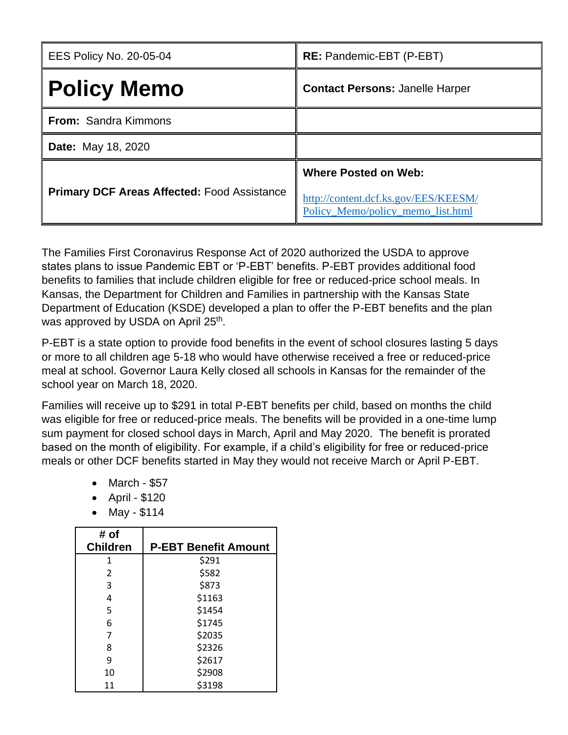| <b>EES Policy No. 20-05-04</b>                     | <b>RE:</b> Pandemic-EBT (P-EBT)                                                                          |
|----------------------------------------------------|----------------------------------------------------------------------------------------------------------|
| <b>Policy Memo</b>                                 | <b>Contact Persons: Janelle Harper</b>                                                                   |
| <b>From: Sandra Kimmons</b>                        |                                                                                                          |
| <b>Date:</b> May 18, 2020                          |                                                                                                          |
| <b>Primary DCF Areas Affected: Food Assistance</b> | <b>Where Posted on Web:</b><br>http://content.dcf.ks.gov/EES/KEESM/<br>Policy_Memo/policy_memo_list.html |

The Families First Coronavirus Response Act of 2020 authorized the USDA to approve states plans to issue Pandemic EBT or 'P-EBT' benefits. P-EBT provides additional food benefits to families that include children eligible for free or reduced-price school meals. In Kansas, the Department for Children and Families in partnership with the Kansas State Department of Education (KSDE) developed a plan to offer the P-EBT benefits and the plan was approved by USDA on April 25<sup>th</sup>.

P-EBT is a state option to provide food benefits in the event of school closures lasting 5 days or more to all children age 5-18 who would have otherwise received a free or reduced-price meal at school. Governor Laura Kelly closed all schools in Kansas for the remainder of the school year on March 18, 2020.

Families will receive up to \$291 in total P-EBT benefits per child, based on months the child was eligible for free or reduced-price meals. The benefits will be provided in a one-time lump sum payment for closed school days in March, April and May 2020. The benefit is prorated based on the month of eligibility. For example, if a child's eligibility for free or reduced-price meals or other DCF benefits started in May they would not receive March or April P-EBT.

- March \$57
- April \$120
- May \$114

| # of            |                             |
|-----------------|-----------------------------|
| <b>Children</b> | <b>P-EBT Benefit Amount</b> |
| 1               | \$291                       |
| $\mathcal{P}$   | \$582                       |
| 3               | \$873                       |
| 4               | \$1163                      |
| 5               | \$1454                      |
| 6               | \$1745                      |
| 7               | \$2035                      |
| 8               | \$2326                      |
| 9               | \$2617                      |
| 10              | \$2908                      |
| 11              | \$3198                      |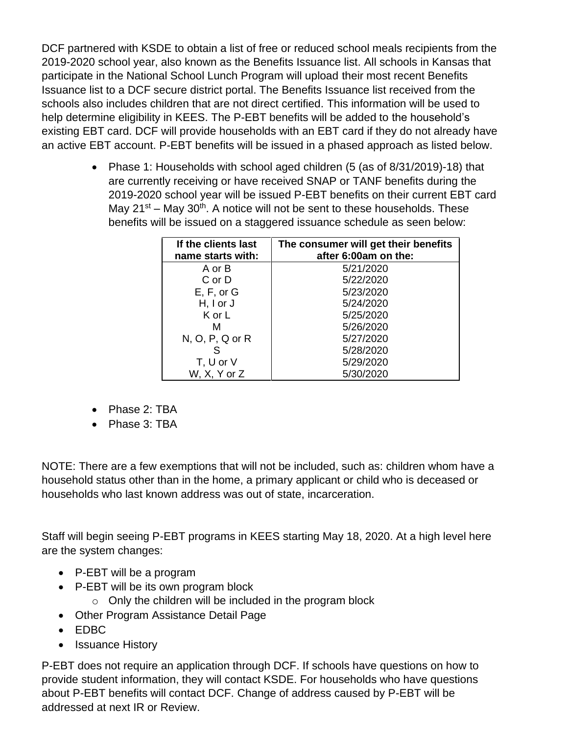DCF partnered with KSDE to obtain a list of free or reduced school meals recipients from the 2019-2020 school year, also known as the Benefits Issuance list. All schools in Kansas that participate in the National School Lunch Program will upload their most recent Benefits Issuance list to a DCF secure district portal. The Benefits Issuance list received from the schools also includes children that are not direct certified. This information will be used to help determine eligibility in KEES. The P-EBT benefits will be added to the household's existing EBT card. DCF will provide households with an EBT card if they do not already have an active EBT account. P-EBT benefits will be issued in a phased approach as listed below.

> • Phase 1: Households with school aged children (5 (as of 8/31/2019)-18) that are currently receiving or have received SNAP or TANF benefits during the 2019-2020 school year will be issued P-EBT benefits on their current EBT card May 21<sup>st</sup> – May 30<sup>th</sup>. A notice will not be sent to these households. These benefits will be issued on a staggered issuance schedule as seen below:

| If the clients last<br>name starts with: | The consumer will get their benefits<br>after 6:00am on the: |
|------------------------------------------|--------------------------------------------------------------|
| A or B                                   | 5/21/2020                                                    |
| C or D                                   | 5/22/2020                                                    |
| E, F, or G                               | 5/23/2020                                                    |
| $H, I$ or $J$                            | 5/24/2020                                                    |
| K or L                                   | 5/25/2020                                                    |
| м                                        | 5/26/2020                                                    |
| $N, O, P, Q$ or $R$                      | 5/27/2020                                                    |
| S                                        | 5/28/2020                                                    |
| T, U or V                                | 5/29/2020                                                    |
| W, X, Y or Z                             | 5/30/2020                                                    |

- Phase 2: TBA
- Phase 3: TBA

NOTE: There are a few exemptions that will not be included, such as: children whom have a household status other than in the home, a primary applicant or child who is deceased or households who last known address was out of state, incarceration.

Staff will begin seeing P-EBT programs in KEES starting May 18, 2020. At a high level here are the system changes:

- P-EBT will be a program
- P-EBT will be its own program block
	- $\circ$  Only the children will be included in the program block
- Other Program Assistance Detail Page
- EDBC
- Issuance History

P-EBT does not require an application through DCF. If schools have questions on how to provide student information, they will contact KSDE. For households who have questions about P-EBT benefits will contact DCF. Change of address caused by P-EBT will be addressed at next IR or Review.